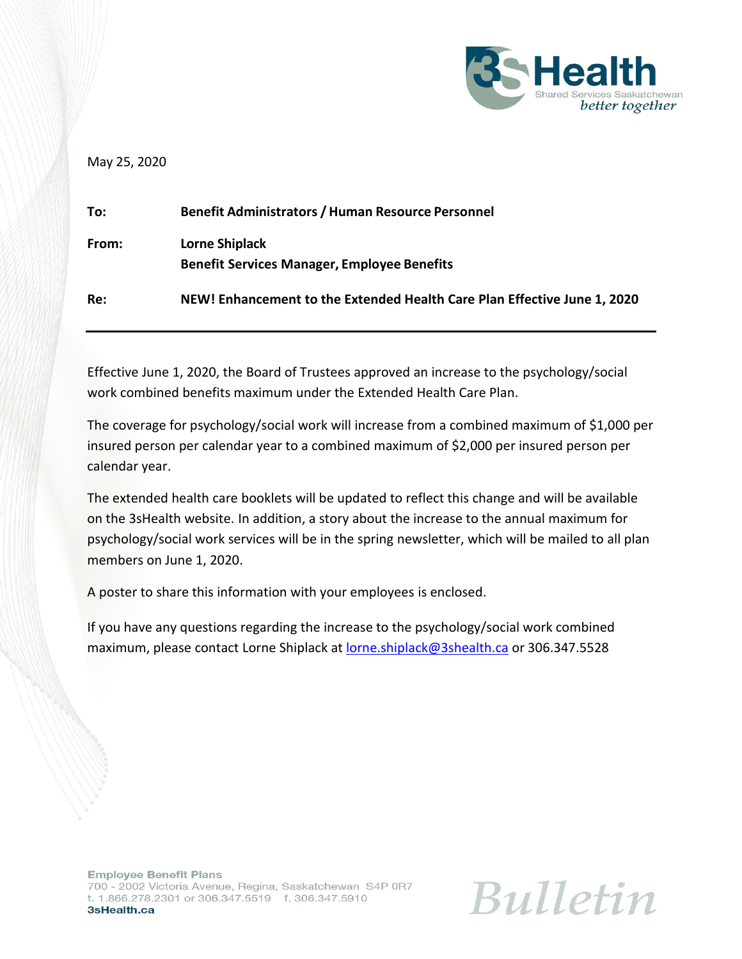

## May 25, 2020

| To:   | <b>Benefit Administrators / Human Resource Personnel</b>                    |
|-------|-----------------------------------------------------------------------------|
| From: | <b>Lorne Shiplack</b><br><b>Benefit Services Manager, Employee Benefits</b> |
| Re:   | NEW! Enhancement to the Extended Health Care Plan Effective June 1, 2020    |

Effective June 1, 2020, the Board of Trustees approved an increase to the psychology/social work combined benefits maximum under the Extended Health Care Plan.

The coverage for psychology/social work will increase from a combined maximum of \$1,000 per insured person per calendar year to a combined maximum of \$2,000 per insured person per calendar year.

The extended health care booklets will be updated to reflect this change and will be available on the 3sHealth website. In addition, a story about the increase to the annual maximum for psychology/social work services will be in the spring newsletter, which will be mailed to all plan members on June 1, 2020.

A poster to share this information with your employees is enclosed.

If you have any questions regarding the increase to the psychology/social work combined maximum, please contact Lorne Shiplack at **[lorne.shiplack@3shealth.ca](mailto:lorne.shiplack@3shealth.ca)** or 306.347.5528